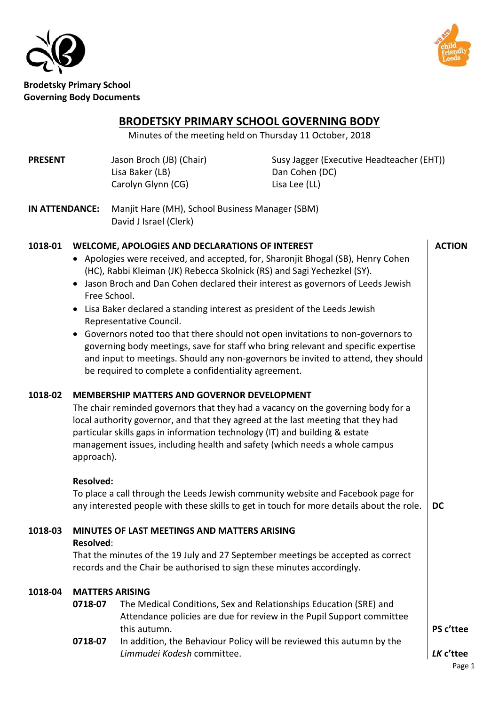



# **BRODETSKY PRIMARY SCHOOL GOVERNING BODY**

Minutes of the meeting held on Thursday 11 October, 2018

**PRESENT** Jason Broch (JB) (Chair) Susy Jagger (Executive Headteacher (EHT)) Lisa Baker (LB) Dan Cohen (DC) Carolyn Glynn (CG) Lisa Lee (LL)

**IN ATTENDANCE:** Manjit Hare (MH), School Business Manager (SBM) David J Israel (Clerk)

# **1018-01 WELCOME, APOLOGIES AND DECLARATIONS OF INTEREST**

- Apologies were received, and accepted, for, Sharonjit Bhogal (SB), Henry Cohen (HC), Rabbi Kleiman (JK) Rebecca Skolnick (RS) and Sagi Yechezkel (SY).
- Jason Broch and Dan Cohen declared their interest as governors of Leeds Jewish Free School.
- Lisa Baker declared a standing interest as president of the Leeds Jewish Representative Council.
- Governors noted too that there should not open invitations to non-governors to governing body meetings, save for staff who bring relevant and specific expertise and input to meetings. Should any non-governors be invited to attend, they should be required to complete a confidentiality agreement.

#### **1018-02 MEMBERSHIP MATTERS AND GOVERNOR DEVELOPMENT**

The chair reminded governors that they had a vacancy on the governing body for a local authority governor, and that they agreed at the last meeting that they had particular skills gaps in information technology (IT) and building & estate management issues, including health and safety (which needs a whole campus approach).

#### **Resolved:**

To place a call through the Leeds Jewish community website and Facebook page for any interested people with these skills to get in touch for more details about the role. **DC** 

# **1018-03 MINUTES OF LAST MEETINGS AND MATTERS ARISING**

#### **Resolved**:

That the minutes of the 19 July and 27 September meetings be accepted as correct records and the Chair be authorised to sign these minutes accordingly.

# **1018-04 MATTERS ARISING**

- **0718-07** The Medical Conditions, Sex and Relationships Education (SRE) and Attendance policies are due for review in the Pupil Support committee this autumn.
- **0718-07** In addition, the Behaviour Policy will be reviewed this autumn by the *Limmudei Kodesh* committee.

**ACTION** 

**PS c'ttee**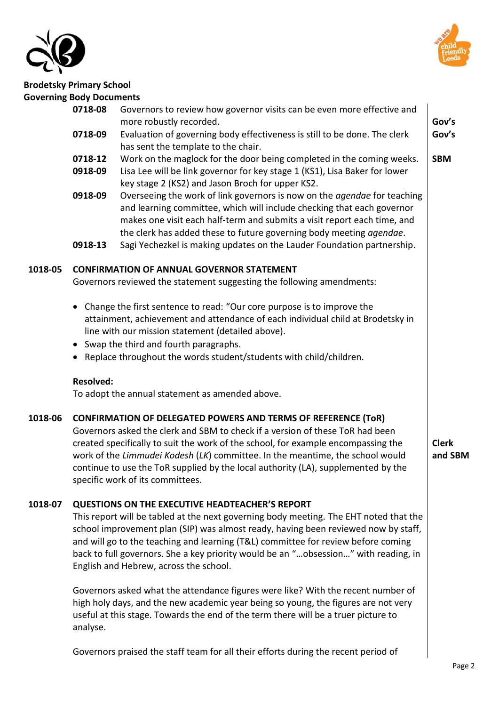



|         | 0718-08          | Governors to review how governor visits can be even more effective and<br>more robustly recorded.                                                                                                                                                                                                                                                                                                                                                                               | Gov's      |  |
|---------|------------------|---------------------------------------------------------------------------------------------------------------------------------------------------------------------------------------------------------------------------------------------------------------------------------------------------------------------------------------------------------------------------------------------------------------------------------------------------------------------------------|------------|--|
|         | 0718-09          | Evaluation of governing body effectiveness is still to be done. The clerk                                                                                                                                                                                                                                                                                                                                                                                                       | Gov's      |  |
|         | 0718-12          | has sent the template to the chair.<br>Work on the maglock for the door being completed in the coming weeks.                                                                                                                                                                                                                                                                                                                                                                    | <b>SBM</b> |  |
|         | 0918-09          | Lisa Lee will be link governor for key stage 1 (KS1), Lisa Baker for lower<br>key stage 2 (KS2) and Jason Broch for upper KS2.                                                                                                                                                                                                                                                                                                                                                  |            |  |
|         | 0918-09          | Overseeing the work of link governors is now on the <i>agendae</i> for teaching<br>and learning committee, which will include checking that each governor<br>makes one visit each half-term and submits a visit report each time, and<br>the clerk has added these to future governing body meeting agendae.                                                                                                                                                                    |            |  |
|         | 0918-13          | Sagi Yechezkel is making updates on the Lauder Foundation partnership.                                                                                                                                                                                                                                                                                                                                                                                                          |            |  |
| 1018-05 |                  | <b>CONFIRMATION OF ANNUAL GOVERNOR STATEMENT</b><br>Governors reviewed the statement suggesting the following amendments:                                                                                                                                                                                                                                                                                                                                                       |            |  |
|         | $\bullet$        | Change the first sentence to read: "Our core purpose is to improve the<br>attainment, achievement and attendance of each individual child at Brodetsky in<br>line with our mission statement (detailed above).<br>• Swap the third and fourth paragraphs.                                                                                                                                                                                                                       |            |  |
|         |                  | Replace throughout the words student/students with child/children.                                                                                                                                                                                                                                                                                                                                                                                                              |            |  |
|         | <b>Resolved:</b> | To adopt the annual statement as amended above.                                                                                                                                                                                                                                                                                                                                                                                                                                 |            |  |
| 1018-06 |                  | <b>CONFIRMATION OF DELEGATED POWERS AND TERMS OF REFERENCE (TOR)</b><br>Governors asked the clerk and SBM to check if a version of these ToR had been<br>created specifically to suit the work of the school, for example encompassing the<br><b>Clerk</b><br>work of the Limmudei Kodesh (LK) committee. In the meantime, the school would<br>and SBM<br>continue to use the ToR supplied by the local authority (LA), supplemented by the<br>specific work of its committees. |            |  |
| 1018-07 |                  | <b>QUESTIONS ON THE EXECUTIVE HEADTEACHER'S REPORT</b><br>This report will be tabled at the next governing body meeting. The EHT noted that the<br>school improvement plan (SIP) was almost ready, having been reviewed now by staff,<br>and will go to the teaching and learning (T&L) committee for review before coming<br>back to full governors. She a key priority would be an "obsession" with reading, in<br>English and Hebrew, across the school.                     |            |  |
|         | analyse.         | Governors asked what the attendance figures were like? With the recent number of<br>high holy days, and the new academic year being so young, the figures are not very<br>useful at this stage. Towards the end of the term there will be a truer picture to                                                                                                                                                                                                                    |            |  |

Governors praised the staff team for all their efforts during the recent period of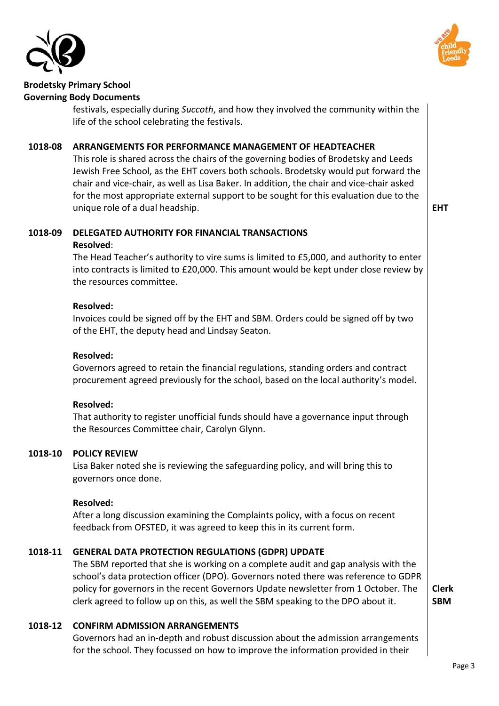



festivals, especially during *Succoth*, and how they involved the community within the life of the school celebrating the festivals.

# **1018-08 ARRANGEMENTS FOR PERFORMANCE MANAGEMENT OF HEADTEACHER**

This role is shared across the chairs of the governing bodies of Brodetsky and Leeds Jewish Free School, as the EHT covers both schools. Brodetsky would put forward the chair and vice-chair, as well as Lisa Baker. In addition, the chair and vice-chair asked for the most appropriate external support to be sought for this evaluation due to the unique role of a dual headship. **EHT** 

#### **1018-09 DELEGATED AUTHORITY FOR FINANCIAL TRANSACTIONS Resolved**:

The Head Teacher's authority to vire sums is limited to £5,000, and authority to enter into contracts is limited to £20,000. This amount would be kept under close review by the resources committee.

#### **Resolved:**

Invoices could be signed off by the EHT and SBM. Orders could be signed off by two of the EHT, the deputy head and Lindsay Seaton.

#### **Resolved:**

Governors agreed to retain the financial regulations, standing orders and contract procurement agreed previously for the school, based on the local authority's model.

#### **Resolved:**

That authority to register unofficial funds should have a governance input through the Resources Committee chair, Carolyn Glynn.

#### **1018-10 POLICY REVIEW**

Lisa Baker noted she is reviewing the safeguarding policy, and will bring this to governors once done.

#### **Resolved:**

After a long discussion examining the Complaints policy, with a focus on recent feedback from OFSTED, it was agreed to keep this in its current form.

# **1018-11 GENERAL DATA PROTECTION REGULATIONS (GDPR) UPDATE**

The SBM reported that she is working on a complete audit and gap analysis with the school's data protection officer (DPO). Governors noted there was reference to GDPR policy for governors in the recent Governors Update newsletter from 1 October. The clerk agreed to follow up on this, as well the SBM speaking to the DPO about it.

**Clerk SBM** 

# **1018-12 CONFIRM ADMISSION ARRANGEMENTS**

Governors had an in-depth and robust discussion about the admission arrangements for the school. They focussed on how to improve the information provided in their